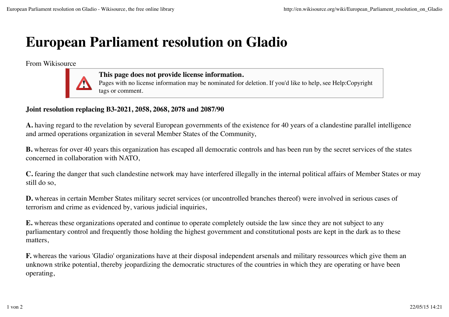## **European Parliament resolution on Gladio**

From Wikisource



**This page does not provide license information.**

Pages with no license information may be nominated for deletion. If you'd like to help, see Help:Copyright tags or comment.

## **Joint resolution replacing B3-2021, 2058, 2068, 2078 and 2087/90**

**A.** having regard to the revelation by several European governments of the existence for 40 years of a clandestine parallel intelligence and armed operations organization in several Member States of the Community,

**B.** whereas for over 40 years this organization has escaped all democratic controls and has been run by the secret services of the states concerned in collaboration with NATO,

**C.** fearing the danger that such clandestine network may have interfered illegally in the internal political affairs of Member States or may still do so,

**D.** whereas in certain Member States military secret services (or uncontrolled branches thereof) were involved in serious cases of terrorism and crime as evidenced by, various judicial inquiries,

**E.** whereas these organizations operated and continue to operate completely outside the law since they are not subject to any parliamentary control and frequently those holding the highest government and constitutional posts are kept in the dark as to these matters,

**F.** whereas the various 'Gladio' organizations have at their disposal independent arsenals and military ressources which give them an unknown strike potential, thereby jeopardizing the democratic structures of the countries in which they are operating or have been operating,